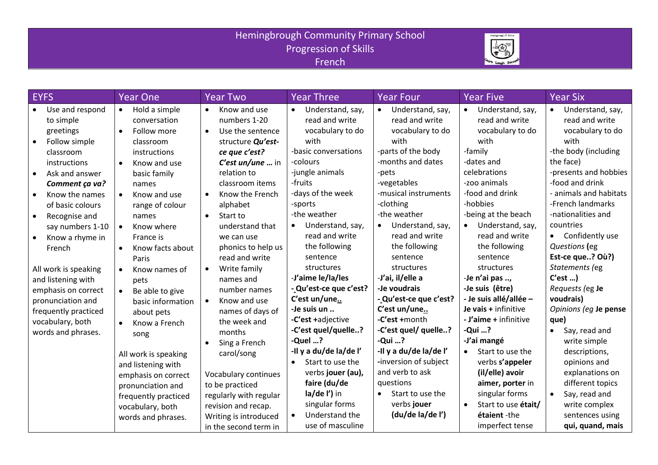## Hemingbrough Community Primary School Progression of Skills French



| <b>EYFS</b>                                                                                                                                                                                                                                                                                                                                                                                                                                                      | <b>Year One</b>                                                                                                                                                                                                                                                                                                                                                                                                                                     | <b>Year Two</b>                                                                                                                                                                                                                                                                                                                                                                                                                              | <b>Year Three</b>                                                                                                                                                                                                                                                                                                                                                                                                   | <b>Year Four</b>                                                                                                                                                                                                                                                                                                                                                                                                                   | <b>Year Five</b>                                                                                                                                                                                                                                                                                                                                                                                                       | <b>Year Six</b>                                                                                                                                                                                                                                                                                                                                                                                                                                  |
|------------------------------------------------------------------------------------------------------------------------------------------------------------------------------------------------------------------------------------------------------------------------------------------------------------------------------------------------------------------------------------------------------------------------------------------------------------------|-----------------------------------------------------------------------------------------------------------------------------------------------------------------------------------------------------------------------------------------------------------------------------------------------------------------------------------------------------------------------------------------------------------------------------------------------------|----------------------------------------------------------------------------------------------------------------------------------------------------------------------------------------------------------------------------------------------------------------------------------------------------------------------------------------------------------------------------------------------------------------------------------------------|---------------------------------------------------------------------------------------------------------------------------------------------------------------------------------------------------------------------------------------------------------------------------------------------------------------------------------------------------------------------------------------------------------------------|------------------------------------------------------------------------------------------------------------------------------------------------------------------------------------------------------------------------------------------------------------------------------------------------------------------------------------------------------------------------------------------------------------------------------------|------------------------------------------------------------------------------------------------------------------------------------------------------------------------------------------------------------------------------------------------------------------------------------------------------------------------------------------------------------------------------------------------------------------------|--------------------------------------------------------------------------------------------------------------------------------------------------------------------------------------------------------------------------------------------------------------------------------------------------------------------------------------------------------------------------------------------------------------------------------------------------|
| Use and respond<br>to simple<br>greetings<br>Follow simple<br>$\bullet$<br>classroom<br>instructions<br>Ask and answer<br>$\bullet$<br>Comment ça va?<br>Know the names<br>$\bullet$<br>of basic colours<br>Recognise and<br>$\bullet$<br>say numbers 1-10<br>Know a rhyme in<br>$\bullet$<br>French<br>All work is speaking<br>and listening with<br>emphasis on correct<br>pronunciation and<br>frequently practiced<br>vocabulary, both<br>words and phrases. | Hold a simple<br>$\bullet$<br>conversation<br>$\bullet$<br>Follow more<br>classroom<br>instructions<br>Know and use<br>$\bullet$<br>basic family<br>names<br>Know and use<br>$\bullet$<br>range of colour<br>names<br>Know where<br>$\bullet$<br>France is<br>Know facts about<br>$\bullet$<br>Paris<br>$\bullet$<br>Know names of<br>pets<br>Be able to give<br>$\bullet$<br>basic information<br>about pets<br>Know a French<br>$\bullet$<br>song | Know and use<br>numbers 1-20<br>Use the sentence<br>$\bullet$<br>structure Qu'est-<br>ce que c'est?<br>C'est un/une  in<br>relation to<br>classroom items<br>Know the French<br>$\bullet$<br>alphabet<br>Start to<br>$\bullet$<br>understand that<br>we can use<br>phonics to help us<br>read and write<br>Write family<br>$\bullet$<br>names and<br>number names<br>Know and use<br>$\bullet$<br>names of days of<br>the week and<br>months | Understand, say,<br>$\bullet$<br>read and write<br>vocabulary to do<br>with<br>-basic conversations<br>-colours<br>-jungle animals<br>-fruits<br>-days of the week<br>-sports<br>-the weather<br>Understand, say,<br>read and write<br>the following<br>sentence<br>structures<br>-J'aime le/la/les<br>- Qu'est-ce que c'est?<br>C'est un/une<br>-Je suis un<br>-C'est +adjective<br>-C'est quel/quelle?<br>-Quel ? | Understand, say,<br>$\bullet$<br>read and write<br>vocabulary to do<br>with<br>-parts of the body<br>-months and dates<br>-pets<br>-vegetables<br>-musical instruments<br>-clothing<br>-the weather<br>Understand, say,<br>$\bullet$<br>read and write<br>the following<br>sentence<br>structures<br>-J'ai, il/elle a<br>-Je voudrais<br>- Qu'est-ce que c'est?<br>C'est un/une<br>-C'est +month<br>-C'est quel/ quelle?<br>-Qui ? | • Understand, say,<br>read and write<br>vocabulary to do<br>with<br>-family<br>-dates and<br>celebrations<br>-zoo animals<br>-food and drink<br>-hobbies<br>-being at the beach<br>Understand, say,<br>$\bullet$<br>read and write<br>the following<br>sentence<br>structures<br>-Je n'ai pas ,<br>-Je suis (être)<br>- Je suis allé/allée -<br>Je vais + infinitive<br>- J'aime + infinitive<br>-Qui ?<br>-J'ai mangé | Understand, say,<br>$\bullet$<br>read and write<br>vocabulary to do<br>with<br>-the body (including<br>the face)<br>-presents and hobbies<br>-food and drink<br>animals and habitats<br>-French landmarks<br>-nationalities and<br>countries<br>• Confidently use<br>Questions (eg<br>Est-ce que? Où?)<br>Statements (eg<br>C'est<br>Requests (eg Je<br>voudrais)<br>Opinions (eg Je pense<br>que)<br>Say, read and<br>$\bullet$<br>write simple |
|                                                                                                                                                                                                                                                                                                                                                                                                                                                                  | All work is speaking<br>and listening with<br>emphasis on correct<br>pronunciation and<br>frequently practiced<br>vocabulary, both<br>words and phrases.                                                                                                                                                                                                                                                                                            | Sing a French<br>carol/song<br>Vocabulary continues<br>to be practiced<br>regularly with regular<br>revision and recap.<br>Writing is introduced<br>in the second term in                                                                                                                                                                                                                                                                    | -Il y a du/de la/de l'<br>Start to use the<br>$\bullet$<br>verbs jouer (au),<br>faire (du/de<br>la/de l') in<br>singular forms<br>Understand the<br>use of masculine                                                                                                                                                                                                                                                | -Il y a du/de la/de l'<br>-inversion of subject<br>and verb to ask<br>questions<br>Start to use the<br>$\bullet$<br>verbs jouer<br>(du/de la/de l')                                                                                                                                                                                                                                                                                | Start to use the<br>$\bullet$<br>verbs s'appeler<br>(il/elle) avoir<br>aimer, porter in<br>singular forms<br>Start to use était/<br>$\bullet$<br>étaient-the<br>imperfect tense                                                                                                                                                                                                                                        | descriptions,<br>opinions and<br>explanations on<br>different topics<br>Say, read and<br>$\bullet$<br>write complex<br>sentences using<br>qui, quand, mais                                                                                                                                                                                                                                                                                       |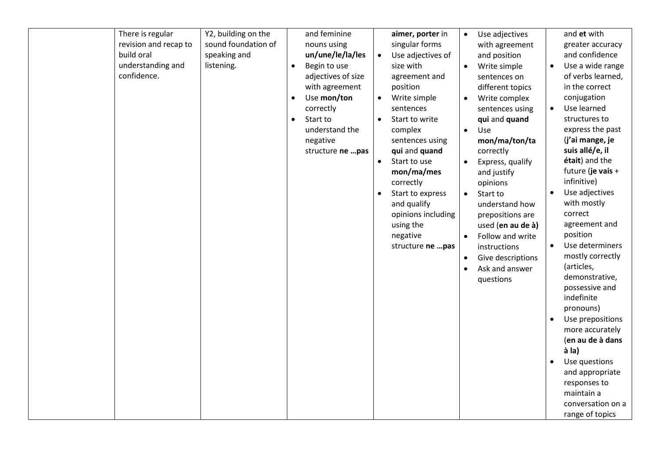| There is regular      | Y2, building on the |           | and feminine       |           | aimer, porter in   | $\bullet$ | Use adjectives    |           | and et with       |
|-----------------------|---------------------|-----------|--------------------|-----------|--------------------|-----------|-------------------|-----------|-------------------|
| revision and recap to | sound foundation of |           | nouns using        |           | singular forms     |           | with agreement    |           | greater accuracy  |
| build oral            | speaking and        |           | un/une/le/la/les   |           | Use adjectives of  |           | and position      |           | and confidence    |
| understanding and     | listening.          | $\bullet$ | Begin to use       |           | size with          | $\bullet$ | Write simple      | $\bullet$ | Use a wide range  |
| confidence.           |                     |           | adjectives of size |           | agreement and      |           | sentences on      |           | of verbs learned, |
|                       |                     |           | with agreement     |           | position           |           | different topics  |           | in the correct    |
|                       |                     | $\bullet$ | Use mon/ton        | $\bullet$ | Write simple       | $\bullet$ | Write complex     |           | conjugation       |
|                       |                     |           | correctly          |           | sentences          |           | sentences using   | $\bullet$ | Use learned       |
|                       |                     | $\bullet$ | Start to           |           | Start to write     |           | qui and quand     |           | structures to     |
|                       |                     |           | understand the     |           | complex            | $\bullet$ | Use               |           | express the past  |
|                       |                     |           | negative           |           | sentences using    |           | mon/ma/ton/ta     |           | (j'ai mange, je   |
|                       |                     |           | structure ne  pas  |           | qui and quand      |           | correctly         |           | suis allé/e, il   |
|                       |                     |           |                    | $\bullet$ | Start to use       | $\bullet$ | Express, qualify  |           | était) and the    |
|                       |                     |           |                    |           | mon/ma/mes         |           | and justify       |           | future (je vais + |
|                       |                     |           |                    |           | correctly          |           | opinions          |           | infinitive)       |
|                       |                     |           |                    |           | Start to express   | $\bullet$ | Start to          |           | Use adjectives    |
|                       |                     |           |                    |           | and qualify        |           | understand how    |           | with mostly       |
|                       |                     |           |                    |           | opinions including |           | prepositions are  |           | correct           |
|                       |                     |           |                    |           | using the          |           | used (en au de à) |           | agreement and     |
|                       |                     |           |                    |           | negative           | $\bullet$ | Follow and write  |           | position          |
|                       |                     |           |                    |           | structure ne pas   |           | instructions      | $\bullet$ | Use determiners   |
|                       |                     |           |                    |           |                    | $\bullet$ | Give descriptions |           | mostly correctly  |
|                       |                     |           |                    |           |                    | $\bullet$ | Ask and answer    |           | (articles,        |
|                       |                     |           |                    |           |                    |           | questions         |           | demonstrative,    |
|                       |                     |           |                    |           |                    |           |                   |           | possessive and    |
|                       |                     |           |                    |           |                    |           |                   |           | indefinite        |
|                       |                     |           |                    |           |                    |           |                   |           | pronouns)         |
|                       |                     |           |                    |           |                    |           |                   |           | Use prepositions  |
|                       |                     |           |                    |           |                    |           |                   |           | more accurately   |
|                       |                     |           |                    |           |                    |           |                   |           | (en au de à dans  |
|                       |                     |           |                    |           |                    |           |                   |           | à la)             |
|                       |                     |           |                    |           |                    |           |                   |           | Use questions     |
|                       |                     |           |                    |           |                    |           |                   |           | and appropriate   |
|                       |                     |           |                    |           |                    |           |                   |           | responses to      |
|                       |                     |           |                    |           |                    |           |                   |           | maintain a        |
|                       |                     |           |                    |           |                    |           |                   |           | conversation on a |
|                       |                     |           |                    |           |                    |           |                   |           | range of topics   |
|                       |                     |           |                    |           |                    |           |                   |           |                   |